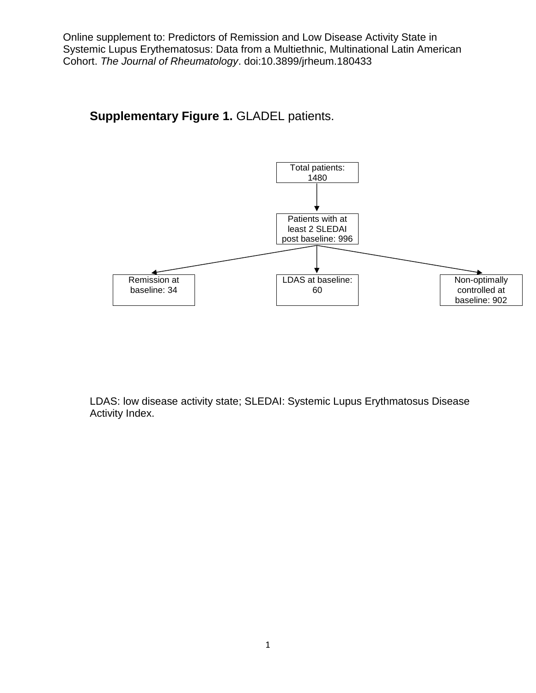## **Supplementary Figure 1.** GLADEL patients.



LDAS: low disease activity state; SLEDAI: Systemic Lupus Erythmatosus Disease Activity Index.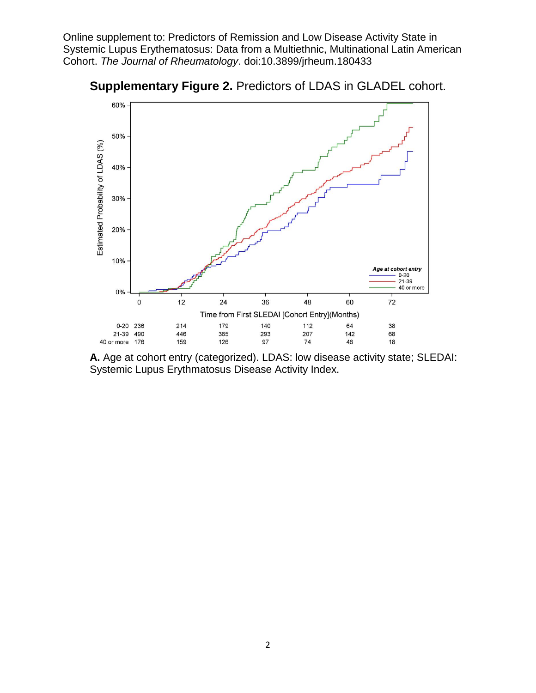



**A.** Age at cohort entry (categorized). LDAS: low disease activity state; SLEDAI: Systemic Lupus Erythmatosus Disease Activity Index.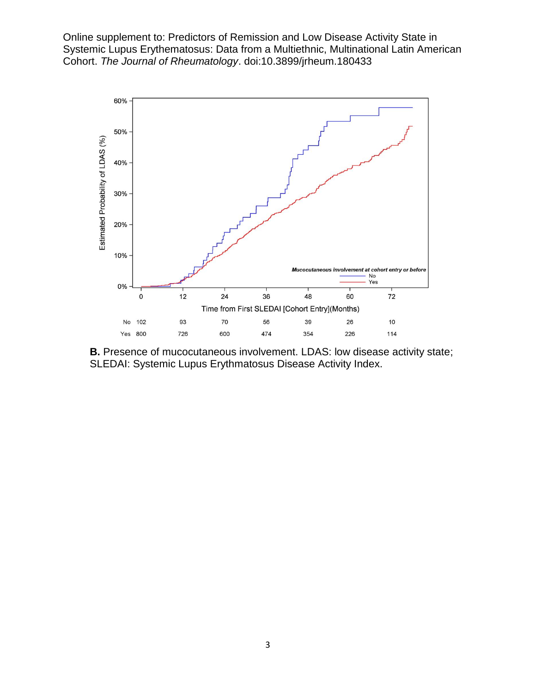

**B.** Presence of mucocutaneous involvement. LDAS: low disease activity state; SLEDAI: Systemic Lupus Erythmatosus Disease Activity Index.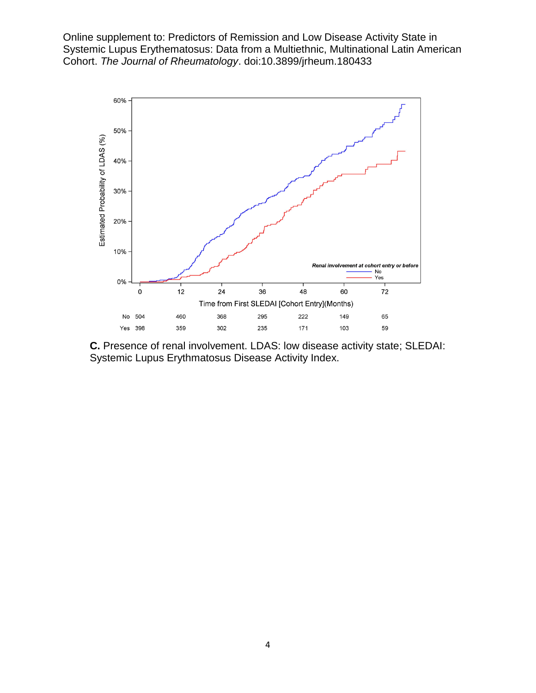

**C.** Presence of renal involvement. LDAS: low disease activity state; SLEDAI: Systemic Lupus Erythmatosus Disease Activity Index.